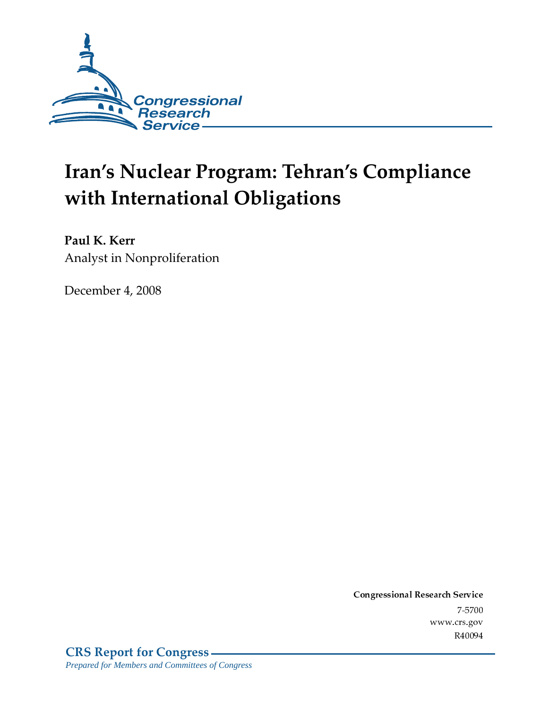

# Iran's Nuclear Program: Tehran's Compliance with International Obligations

Paul K. Kerr Analyst in Nonproliferation

December 4, 2008

Conglessional Research Service  $7 - 2700$ www.crs.gov R40094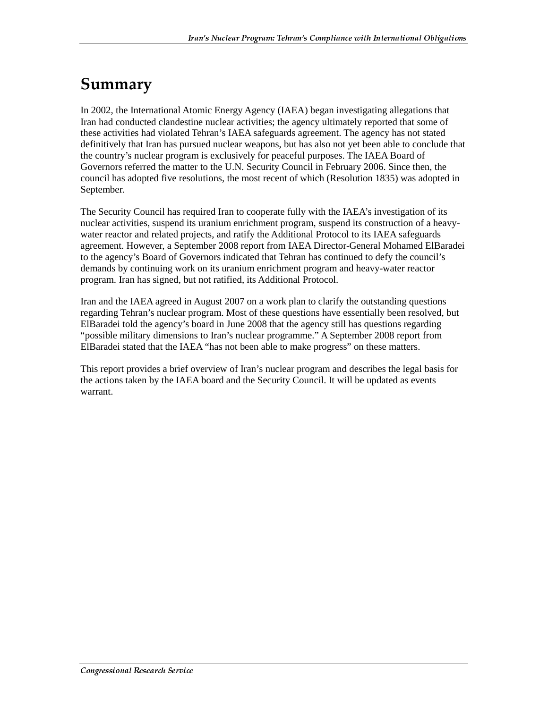### Summary

In 2002, the International Atomic Energy Agency (IAEA) began investigating allegations that Iran had conducted clandestine nuclear activities; the agency ultimately reported that some of these activities had violated Tehran's IAEA safeguards agreement. The agency has not stated definitively that Iran has pursued nuclear weapons, but has also not yet been able to conclude that the country's nuclear program is exclusively for peaceful purposes. The IAEA Board of Governors referred the matter to the U.N. Security Council in February 2006. Since then, the council has adopted five resolutions, the most recent of which (Resolution 1835) was adopted in September.

The Security Council has required Iran to cooperate fully with the IAEA's investigation of its nuclear activities, suspend its uranium enrichment program, suspend its construction of a heavywater reactor and related projects, and ratify the Additional Protocol to its IAEA safeguards agreement. However, a September 2008 report from IAEA Director-General Mohamed ElBaradei to the agency's Board of Governors indicated that Tehran has continued to defy the council's demands by continuing work on its uranium enrichment program and heavy-water reactor program. Iran has signed, but not ratified, its Additional Protocol.

Iran and the IAEA agreed in August 2007 on a work plan to clarify the outstanding questions regarding Tehran's nuclear program. Most of these questions have essentially been resolved, but ElBaradei told the agency's board in June 2008 that the agency still has questions regarding "possible military dimensions to Iran's nuclear programme." A September 2008 report from ElBaradei stated that the IAEA "has not been able to make progress" on these matters.

This report provides a brief overview of Iran's nuclear program and describes the legal basis for the actions taken by the IAEA board and the Security Council. It will be updated as events warrant.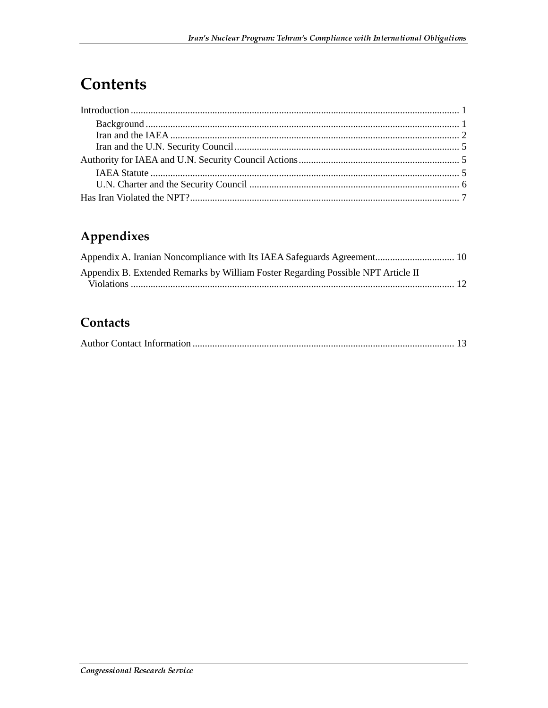### **Contents**

### Appendixes

| Appendix B. Extended Remarks by William Foster Regarding Possible NPT Article II |  |
|----------------------------------------------------------------------------------|--|
|                                                                                  |  |

### Contacts

|--|--|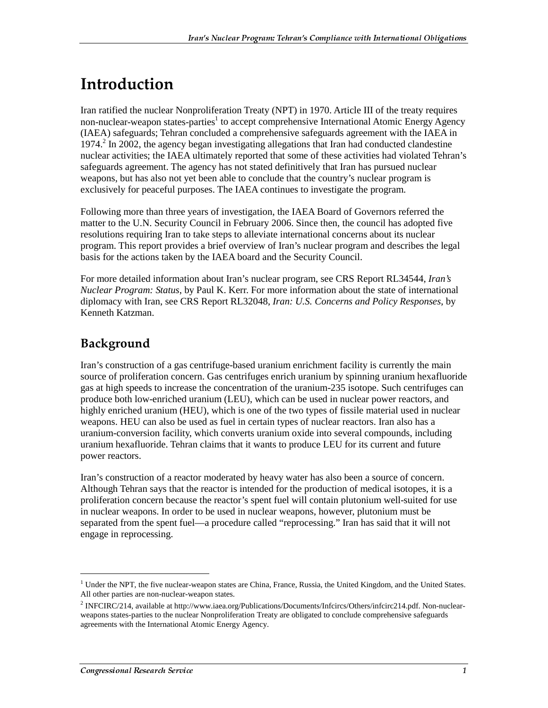### <u>Introduction</u>

Iran ratified the nuclear Nonproliferation Treaty (NPT) in 1970. Article III of the treaty requires non-nuclear-weapon states-parties<sup>1</sup> to accept comprehensive International Atomic Energy Agency (IAEA) safeguards; Tehran concluded a comprehensive safeguards agreement with the IAEA in 1974.<sup>2</sup> In 2002, the agency began investigating allegations that Iran had conducted clandestine nuclear activities; the IAEA ultimately reported that some of these activities had violated Tehran's safeguards agreement. The agency has not stated definitively that Iran has pursued nuclear weapons, but has also not yet been able to conclude that the country's nuclear program is exclusively for peaceful purposes. The IAEA continues to investigate the program.

Following more than three years of investigation, the IAEA Board of Governors referred the matter to the U.N. Security Council in February 2006. Since then, the council has adopted five resolutions requiring Iran to take steps to alleviate international concerns about its nuclear program. This report provides a brief overview of Iran's nuclear program and describes the legal basis for the actions taken by the IAEA board and the Security Council.

For more detailed information about Iran's nuclear program, see CRS Report RL34544, *Iran's Nuclear Program: Status*, by Paul K. Kerr. For more information about the state of international diplomacy with Iran, see CRS Report RL32048, *Iran: U.S. Concerns and Policy Responses*, by Kenneth Katzman.

#### Background

Iran's construction of a gas centrifuge-based uranium enrichment facility is currently the main source of proliferation concern. Gas centrifuges enrich uranium by spinning uranium hexafluoride gas at high speeds to increase the concentration of the uranium-235 isotope. Such centrifuges can produce both low-enriched uranium (LEU), which can be used in nuclear power reactors, and highly enriched uranium (HEU), which is one of the two types of fissile material used in nuclear weapons. HEU can also be used as fuel in certain types of nuclear reactors. Iran also has a uranium-conversion facility, which converts uranium oxide into several compounds, including uranium hexafluoride. Tehran claims that it wants to produce LEU for its current and future power reactors.

Iran's construction of a reactor moderated by heavy water has also been a source of concern. Although Tehran says that the reactor is intended for the production of medical isotopes, it is a proliferation concern because the reactor's spent fuel will contain plutonium well-suited for use in nuclear weapons. In order to be used in nuclear weapons, however, plutonium must be separated from the spent fuel—a procedure called "reprocessing." Iran has said that it will not engage in reprocessing.

<sup>&</sup>lt;sup>1</sup> Under the NPT, the five nuclear-weapon states are China, France, Russia, the United Kingdom, and the United States. All other parties are non-nuclear-weapon states.

<sup>&</sup>lt;sup>2</sup> INFCIRC/214, available at http://www.iaea.org/Publications/Documents/Infcircs/Others/infcirc214.pdf. Non-nuclearweapons states-parties to the nuclear Nonproliferation Treaty are obligated to conclude comprehensive safeguards agreements with the International Atomic Energy Agency.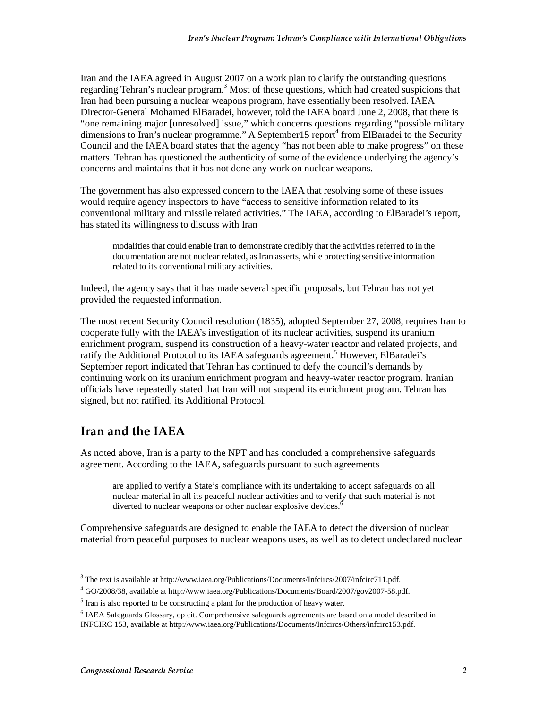Iran and the IAEA agreed in August 2007 on a work plan to clarify the outstanding questions regarding Tehran's nuclear program.<sup>3</sup> Most of these questions, which had created suspicions that Iran had been pursuing a nuclear weapons program, have essentially been resolved. IAEA Director-General Mohamed ElBaradei, however, told the IAEA board June 2, 2008, that there is "one remaining major [unresolved] issue," which concerns questions regarding "possible military dimensions to Iran's nuclear programme." A September 15 report<sup>4</sup> from ElBaradei to the Security Council and the IAEA board states that the agency "has not been able to make progress" on these matters. Tehran has questioned the authenticity of some of the evidence underlying the agency's concerns and maintains that it has not done any work on nuclear weapons.

The government has also expressed concern to the IAEA that resolving some of these issues would require agency inspectors to have "access to sensitive information related to its conventional military and missile related activities." The IAEA, according to ElBaradei's report, has stated its willingness to discuss with Iran

modalities that could enable Iran to demonstrate credibly that the activities referred to in the documentation are not nuclear related, as Iran asserts, while protecting sensitive information related to its conventional military activities.

Indeed, the agency says that it has made several specific proposals, but Tehran has not yet provided the requested information.

The most recent Security Council resolution (1835), adopted September 27, 2008, requires Iran to cooperate fully with the IAEA's investigation of its nuclear activities, suspend its uranium enrichment program, suspend its construction of a heavy-water reactor and related projects, and ratify the Additional Protocol to its IAEA safeguards agreement.<sup>5</sup> However, ElBaradei's September report indicated that Tehran has continued to defy the council's demands by continuing work on its uranium enrichment program and heavy-water reactor program. Iranian officials have repeatedly stated that Iran will not suspend its enrichment program. Tehran has signed, but not ratified, its Additional Protocol.

#### Iran and the IAEA

As noted above, Iran is a party to the NPT and has concluded a comprehensive safeguards agreement. According to the IAEA, safeguards pursuant to such agreements

are applied to verify a State's compliance with its undertaking to accept safeguards on all nuclear material in all its peaceful nuclear activities and to verify that such material is not diverted to nuclear weapons or other nuclear explosive devices.<sup>6</sup>

Comprehensive safeguards are designed to enable the IAEA to detect the diversion of nuclear material from peaceful purposes to nuclear weapons uses, as well as to detect undeclared nuclear

<sup>&</sup>lt;sup>3</sup> The text is available at http://www.iaea.org/Publications/Documents/Infcircs/2007/infcirc711.pdf.

<sup>4</sup> GO/2008/38, available at http://www.iaea.org/Publications/Documents/Board/2007/gov2007-58.pdf.

<sup>&</sup>lt;sup>5</sup> Iran is also reported to be constructing a plant for the production of heavy water.

<sup>&</sup>lt;sup>6</sup> IAEA Safeguards Glossary, op cit. Comprehensive safeguards agreements are based on a model described in INFCIRC 153, available at http://www.iaea.org/Publications/Documents/Infcircs/Others/infcirc153.pdf.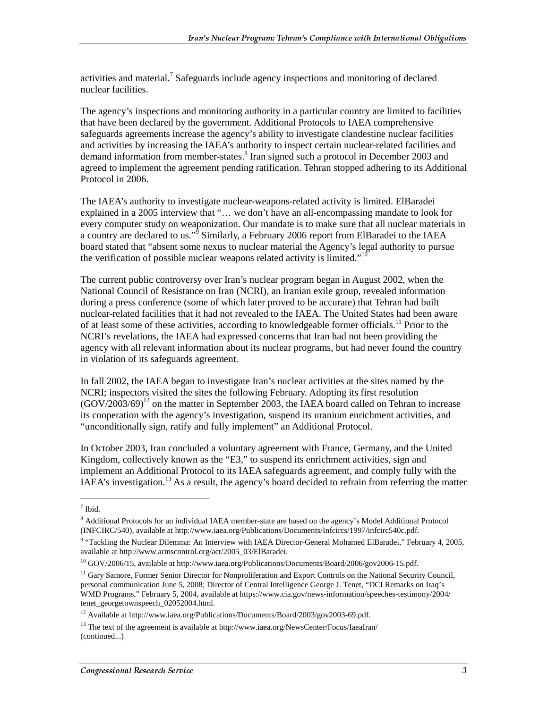activities and material.<sup>7</sup> Safeguards include agency inspections and monitoring of declared nuclear facilities.

The agency's inspections and monitoring authority in a particular country are limited to facilities that have been declared by the government. Additional Protocols to IAEA comprehensive safeguards agreements increase the agency's ability to investigate clandestine nuclear facilities and activities by increasing the IAEA's authority to inspect certain nuclear-related facilities and demand information from member-states.<sup>8</sup> Iran signed such a protocol in December 2003 and agreed to implement the agreement pending ratification. Tehran stopped adhering to its Additional Protocol in 2006.

The IAEA's authority to investigate nuclear-weapons-related activity is limited. ElBaradei explained in a 2005 interview that "… we don't have an all-encompassing mandate to look for every computer study on weaponization. Our mandate is to make sure that all nuclear materials in a country are declared to us."<sup>5</sup> Similarly, a February 2006 report from ElBaradei to the IAEA board stated that "absent some nexus to nuclear material the Agency's legal authority to pursue the verification of possible nuclear weapons related activity is limited."<sup>10</sup>

The current public controversy over Iran's nuclear program began in August 2002, when the National Council of Resistance on Iran (NCRI), an Iranian exile group, revealed information during a press conference (some of which later proved to be accurate) that Tehran had built nuclear-related facilities that it had not revealed to the IAEA. The United States had been aware of at least some of these activities, according to knowledgeable former officials.<sup>11</sup> Prior to the NCRI's revelations, the IAEA had expressed concerns that Iran had not been providing the agency with all relevant information about its nuclear programs, but had never found the country in violation of its safeguards agreement.

In fall 2002, the IAEA began to investigate Iran's nuclear activities at the sites named by the NCRI; inspectors visited the sites the following February. Adopting its first resolution  $(GOV/2003/69)^{12}$  on the matter in September 2003, the IAEA board called on Tehran to increase its cooperation with the agency's investigation, suspend its uranium enrichment activities, and "unconditionally sign, ratify and fully implement" an Additional Protocol.

In October 2003, Iran concluded a voluntary agreement with France, Germany, and the United Kingdom, collectively known as the "E3," to suspend its enrichment activities, sign and implement an Additional Protocol to its IAEA safeguards agreement, and comply fully with the IAEA's investigation.<sup>13</sup> As a result, the agency's board decided to refrain from referring the matter

<sup>7</sup> Ibid.

<sup>&</sup>lt;sup>8</sup> Additional Protocols for an individual IAEA member-state are based on the agency's Model Additional Protocol (INFCIRC/540), available at http://www.iaea.org/Publications/Documents/Infcircs/1997/infcirc540c.pdf.

<sup>&</sup>lt;sup>9</sup> "Tackling the Nuclear Dilemma: An Interview with IAEA Director-General Mohamed ElBaradei," February 4, 2005, available at http://www.armscontrol.org/act/2005\_03/ElBaradei.

<sup>&</sup>lt;sup>10</sup> GOV/2006/15, available at http://www.iaea.org/Publications/Documents/Board/2006/gov2006-15.pdf.

<sup>&</sup>lt;sup>11</sup> Gary Samore, Former Senior Director for Nonproliferation and Export Controls on the National Security Council, personal communication June 5, 2008; Director of Central Intelligence George J. Tenet, "DCI Remarks on Iraq's WMD Programs," February 5, 2004, available at https://www.cia.gov/news-information/speeches-testimony/2004/ tenet\_georgetownspeech\_02052004.html.

<sup>&</sup>lt;sup>12</sup> Available at http://www.iaea.org/Publications/Documents/Board/2003/gov2003-69.pdf.

<sup>&</sup>lt;sup>13</sup> The text of the agreement is available at http://www.iaea.org/NewsCenter/Focus/IaeaIran/ (continued...)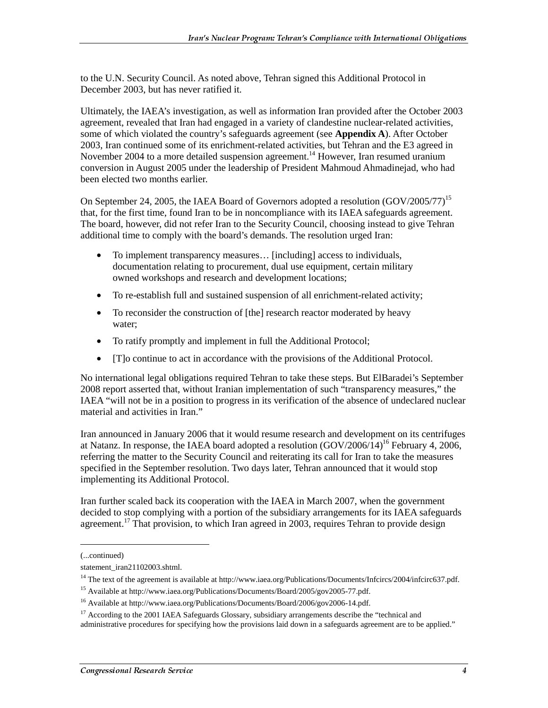to the U.N. Security Council. As noted above, Tehran signed this Additional Protocol in December 2003, but has never ratified it.

Ultimately, the IAEA's investigation, as well as information Iran provided after the October 2003 agreement, revealed that Iran had engaged in a variety of clandestine nuclear-related activities, some of which violated the country's safeguards agreement (see **Appendix A**). After October 2003, Iran continued some of its enrichment-related activities, but Tehran and the E3 agreed in November 2004 to a more detailed suspension agreement.<sup>14</sup> However, Iran resumed uranium conversion in August 2005 under the leadership of President Mahmoud Ahmadinejad, who had been elected two months earlier.

On September 24, 2005, the IAEA Board of Governors adopted a resolution (GOV/2005/77)<sup>15</sup> that, for the first time, found Iran to be in noncompliance with its IAEA safeguards agreement. The board, however, did not refer Iran to the Security Council, choosing instead to give Tehran additional time to comply with the board's demands. The resolution urged Iran:

- To implement transparency measures... [including] access to individuals, documentation relating to procurement, dual use equipment, certain military owned workshops and research and development locations;
- To re-establish full and sustained suspension of all enrichment-related activity;
- To reconsider the construction of [the] research reactor moderated by heavy water;
- To ratify promptly and implement in full the Additional Protocol;
- [T]o continue to act in accordance with the provisions of the Additional Protocol.

No international legal obligations required Tehran to take these steps. But ElBaradei's September 2008 report asserted that, without Iranian implementation of such "transparency measures," the IAEA "will not be in a position to progress in its verification of the absence of undeclared nuclear material and activities in Iran."

Iran announced in January 2006 that it would resume research and development on its centrifuges at Natanz. In response, the IAEA board adopted a resolution  $(GOV/2006/14)^{16}$  February 4, 2006, referring the matter to the Security Council and reiterating its call for Iran to take the measures specified in the September resolution. Two days later, Tehran announced that it would stop implementing its Additional Protocol.

Iran further scaled back its cooperation with the IAEA in March 2007, when the government decided to stop complying with a portion of the subsidiary arrangements for its IAEA safeguards agreement.<sup>17</sup> That provision, to which Iran agreed in 2003, requires Tehran to provide design

<sup>(...</sup>continued)

statement\_iran21102003.shtml.

<sup>&</sup>lt;sup>14</sup> The text of the agreement is available at http://www.iaea.org/Publications/Documents/Infcircs/2004/infcirc637.pdf.

<sup>15</sup> Available at http://www.iaea.org/Publications/Documents/Board/2005/gov2005-77.pdf.

<sup>16</sup> Available at http://www.iaea.org/Publications/Documents/Board/2006/gov2006-14.pdf.

 $17$  According to the 2001 IAEA Safeguards Glossary, subsidiary arrangements describe the "technical and administrative procedures for specifying how the provisions laid down in a safeguards agreement are to be applied."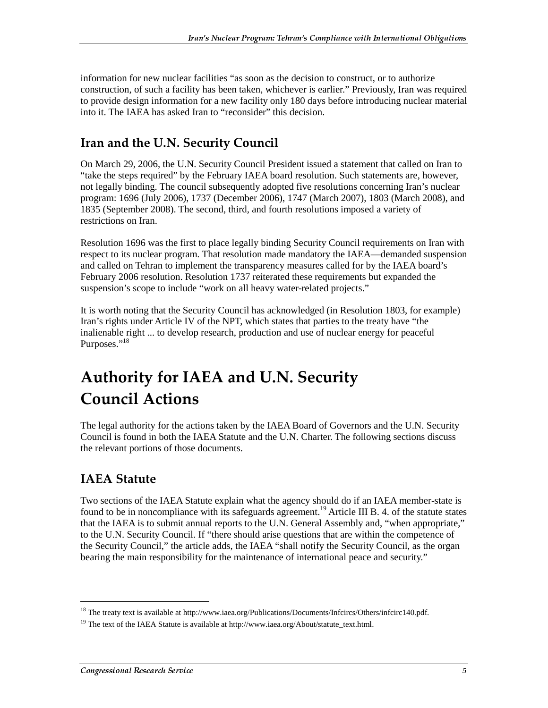information for new nuclear facilities "as soon as the decision to construct, or to authorize construction, of such a facility has been taken, whichever is earlier." Previously, Iran was required to provide design information for a new facility only 180 days before introducing nuclear material into it. The IAEA has asked Iran to "reconsider" this decision.

#### Iran and the U.N. Security Council

On March 29, 2006, the U.N. Security Council President issued a statement that called on Iran to "take the steps required" by the February IAEA board resolution. Such statements are, however, not legally binding. The council subsequently adopted five resolutions concerning Iran's nuclear program: 1696 (July 2006), 1737 (December 2006), 1747 (March 2007), 1803 (March 2008), and 1835 (September 2008). The second, third, and fourth resolutions imposed a variety of restrictions on Iran.

Resolution 1696 was the first to place legally binding Security Council requirements on Iran with respect to its nuclear program. That resolution made mandatory the IAEA—demanded suspension and called on Tehran to implement the transparency measures called for by the IAEA board's February 2006 resolution. Resolution 1737 reiterated these requirements but expanded the suspension's scope to include "work on all heavy water-related projects."

It is worth noting that the Security Council has acknowledged (in Resolution 1803, for example) Iran's rights under Article IV of the NPT, which states that parties to the treaty have "the inalienable right ... to develop research, production and use of nuclear energy for peaceful Purposes."<sup>18</sup>

### **Authority for IAEA and U.N. Security Council Actions**

The legal authority for the actions taken by the IAEA Board of Governors and the U.N. Security Council is found in both the IAEA Statute and the U.N. Charter. The following sections discuss the relevant portions of those documents.

#### **IAEA Statute**

j

Two sections of the IAEA Statute explain what the agency should do if an IAEA member-state is found to be in noncompliance with its safeguards agreement.<sup>19</sup> Article III B. 4. of the statute states that the IAEA is to submit annual reports to the U.N. General Assembly and, "when appropriate," to the U.N. Security Council. If "there should arise questions that are within the competence of the Security Council," the article adds, the IAEA "shall notify the Security Council, as the organ bearing the main responsibility for the maintenance of international peace and security."

<sup>&</sup>lt;sup>18</sup> The treaty text is available at http://www.iaea.org/Publications/Documents/Infcircs/Others/infcirc140.pdf.

<sup>&</sup>lt;sup>19</sup> The text of the IAEA Statute is available at http://www.iaea.org/About/statute\_text.html.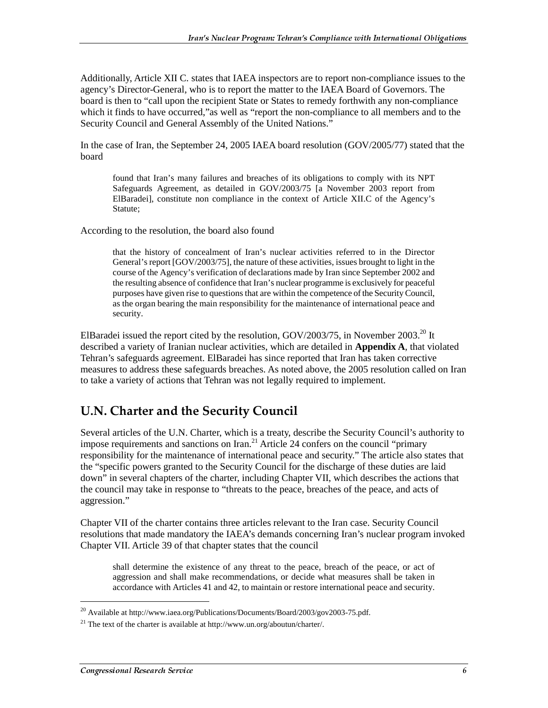Additionally, Article XII C. states that IAEA inspectors are to report non-compliance issues to the agency's Director-General, who is to report the matter to the IAEA Board of Governors. The board is then to "call upon the recipient State or States to remedy forthwith any non-compliance which it finds to have occurred,"as well as "report the non-compliance to all members and to the Security Council and General Assembly of the United Nations."

In the case of Iran, the September 24, 2005 IAEA board resolution (GOV/2005/77) stated that the board

found that Iran's many failures and breaches of its obligations to comply with its NPT Safeguards Agreement, as detailed in GOV/2003/75 [a November 2003 report from ElBaradei], constitute non compliance in the context of Article XII.C of the Agency's Statute;

According to the resolution, the board also found

that the history of concealment of Iran's nuclear activities referred to in the Director General's report [GOV/2003/75], the nature of these activities, issues brought to light in the course of the Agency's verification of declarations made by Iran since September 2002 and the resulting absence of confidence that Iran's nuclear programme is exclusively for peaceful purposes have given rise to questions that are within the competence of the Security Council, as the organ bearing the main responsibility for the maintenance of international peace and security.

ElBaradei issued the report cited by the resolution, GOV/2003/75, in November 2003.<sup>20</sup> It described a variety of Iranian nuclear activities, which are detailed in **Appendix A**, that violated Tehran's safeguards agreement. ElBaradei has since reported that Iran has taken corrective measures to address these safeguards breaches. As noted above, the 2005 resolution called on Iran to take a variety of actions that Tehran was not legally required to implement.

#### **U.N. Charter and the Security Council**

Several articles of the U.N. Charter, which is a treaty, describe the Security Council's authority to impose requirements and sanctions on Iran.<sup>21</sup> Article 24 confers on the council "primary" responsibility for the maintenance of international peace and security." The article also states that the "specific powers granted to the Security Council for the discharge of these duties are laid down" in several chapters of the charter, including Chapter VII, which describes the actions that the council may take in response to "threats to the peace, breaches of the peace, and acts of aggression."

Chapter VII of the charter contains three articles relevant to the Iran case. Security Council resolutions that made mandatory the IAEA's demands concerning Iran's nuclear program invoked Chapter VII. Article 39 of that chapter states that the council

shall determine the existence of any threat to the peace, breach of the peace, or act of aggression and shall make recommendations, or decide what measures shall be taken in accordance with Articles 41 and 42, to maintain or restore international peace and security.

<sup>&</sup>lt;sup>20</sup> Available at http://www.iaea.org/Publications/Documents/Board/2003/gov2003-75.pdf.

<sup>&</sup>lt;sup>21</sup> The text of the charter is available at http://www.un.org/aboutun/charter/.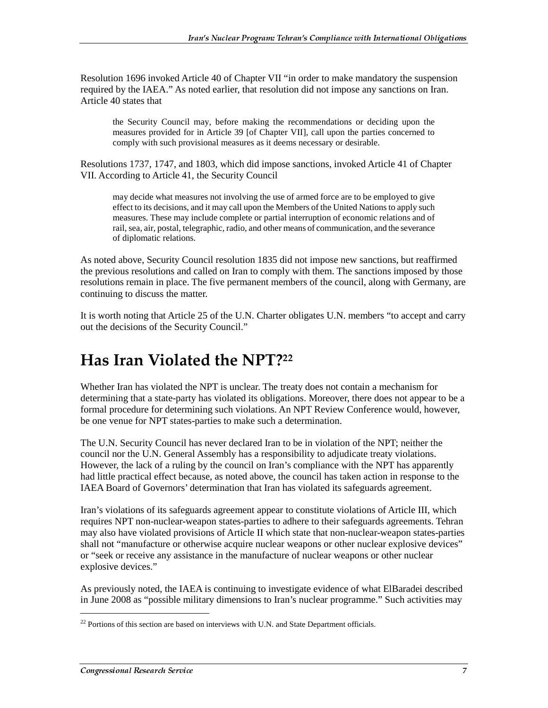Resolution 1696 invoked Article 40 of Chapter VII "in order to make mandatory the suspension required by the IAEA." As noted earlier, that resolution did not impose any sanctions on Iran. Article 40 states that

the Security Council may, before making the recommendations or deciding upon the measures provided for in Article 39 [of Chapter VII], call upon the parties concerned to comply with such provisional measures as it deems necessary or desirable.

Resolutions 1737, 1747, and 1803, which did impose sanctions, invoked Article 41 of Chapter VII. According to Article 41, the Security Council

may decide what measures not involving the use of armed force are to be employed to give effect to its decisions, and it may call upon the Members of the United Nations to apply such measures. These may include complete or partial interruption of economic relations and of rail, sea, air, postal, telegraphic, radio, and other means of communication, and the severance of diplomatic relations.

As noted above, Security Council resolution 1835 did not impose new sanctions, but reaffirmed the previous resolutions and called on Iran to comply with them. The sanctions imposed by those resolutions remain in place. The five permanent members of the council, along with Germany, are continuing to discuss the matter.

It is worth noting that Article 25 of the U.N. Charter obligates U.N. members "to accept and carry out the decisions of the Security Council."

# Has Iran Violated the NPT?<sup>22</sup>

Whether Iran has violated the NPT is unclear. The treaty does not contain a mechanism for determining that a state-party has violated its obligations. Moreover, there does not appear to be a formal procedure for determining such violations. An NPT Review Conference would, however, be one venue for NPT states-parties to make such a determination.

The U.N. Security Council has never declared Iran to be in violation of the NPT; neither the council nor the U.N. General Assembly has a responsibility to adjudicate treaty violations. However, the lack of a ruling by the council on Iran's compliance with the NPT has apparently had little practical effect because, as noted above, the council has taken action in response to the IAEA Board of Governors' determination that Iran has violated its safeguards agreement.

Iran's violations of its safeguards agreement appear to constitute violations of Article III, which requires NPT non-nuclear-weapon states-parties to adhere to their safeguards agreements. Tehran may also have violated provisions of Article II which state that non-nuclear-weapon states-parties shall not "manufacture or otherwise acquire nuclear weapons or other nuclear explosive devices" or "seek or receive any assistance in the manufacture of nuclear weapons or other nuclear explosive devices."

As previously noted, the IAEA is continuing to investigate evidence of what ElBaradei described in June 2008 as "possible military dimensions to Iran's nuclear programme." Such activities may

 $^{22}$  Portions of this section are based on interviews with U.N. and State Department officials.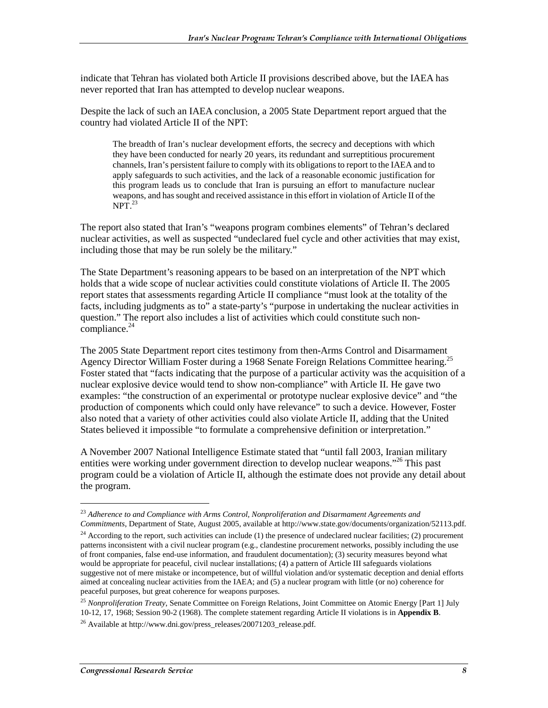indicate that Tehran has violated both Article II provisions described above, but the IAEA has never reported that Iran has attempted to develop nuclear weapons.

Despite the lack of such an IAEA conclusion, a 2005 State Department report argued that the country had violated Article II of the NPT:

The breadth of Iran's nuclear development efforts, the secrecy and deceptions with which they have been conducted for nearly 20 years, its redundant and surreptitious procurement channels, Iran's persistent failure to comply with its obligations to report to the IAEA and to apply safeguards to such activities, and the lack of a reasonable economic justification for this program leads us to conclude that Iran is pursuing an effort to manufacture nuclear weapons, and has sought and received assistance in this effort in violation of Article II of the  $NPT<sup>23</sup>$ 

The report also stated that Iran's "weapons program combines elements" of Tehran's declared nuclear activities, as well as suspected "undeclared fuel cycle and other activities that may exist, including those that may be run solely be the military."

The State Department's reasoning appears to be based on an interpretation of the NPT which holds that a wide scope of nuclear activities could constitute violations of Article II. The 2005 report states that assessments regarding Article II compliance "must look at the totality of the facts, including judgments as to" a state-party's "purpose in undertaking the nuclear activities in question." The report also includes a list of activities which could constitute such noncompliance. $24$ 

The 2005 State Department report cites testimony from then-Arms Control and Disarmament Agency Director William Foster during a 1968 Senate Foreign Relations Committee hearing.<sup>25</sup> Foster stated that "facts indicating that the purpose of a particular activity was the acquisition of a nuclear explosive device would tend to show non-compliance" with Article II. He gave two examples: "the construction of an experimental or prototype nuclear explosive device" and "the production of components which could only have relevance" to such a device. However, Foster also noted that a variety of other activities could also violate Article II, adding that the United States believed it impossible "to formulate a comprehensive definition or interpretation."

A November 2007 National Intelligence Estimate stated that "until fall 2003, Iranian military entities were working under government direction to develop nuclear weapons."<sup>26</sup> This past program could be a violation of Article II, although the estimate does not provide any detail about the program.

<sup>23</sup> *Adherence to and Compliance with Arms Control, Nonproliferation and Disarmament Agreements and Commitments*, Department of State, August 2005, available at http://www.state.gov/documents/organization/52113.pdf.

 $24$  According to the report, such activities can include (1) the presence of undeclared nuclear facilities; (2) procurement patterns inconsistent with a civil nuclear program (e.g., clandestine procurement networks, possibly including the use of front companies, false end-use information, and fraudulent documentation); (3) security measures beyond what would be appropriate for peaceful, civil nuclear installations; (4) a pattern of Article III safeguards violations suggestive not of mere mistake or incompetence, but of willful violation and/or systematic deception and denial efforts aimed at concealing nuclear activities from the IAEA; and (5) a nuclear program with little (or no) coherence for peaceful purposes, but great coherence for weapons purposes.

<sup>25</sup> *Nonproliferation Treaty*, Senate Committee on Foreign Relations, Joint Committee on Atomic Energy [Part 1] July 10-12, 17, 1968; Session 90-2 (1968). The complete statement regarding Article II violations is in **Appendix B**.

<sup>&</sup>lt;sup>26</sup> Available at http://www.dni.gov/press\_releases/20071203\_release.pdf.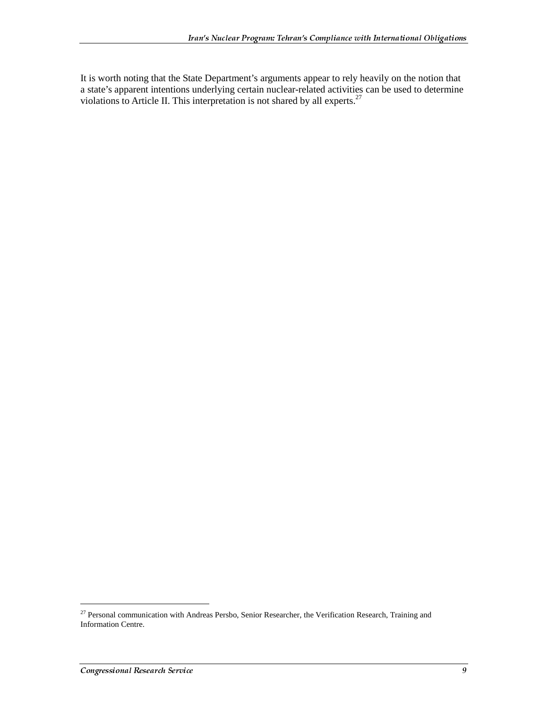It is worth noting that the State Department's arguments appear to rely heavily on the notion that a state's apparent intentions underlying certain nuclear-related activities can be used to determine violations to Article II. This interpretation is not shared by all experts.<sup>27</sup>

<sup>&</sup>lt;sup>27</sup> Personal communication with Andreas Persbo, Senior Researcher, the Verification Research, Training and Information Centre.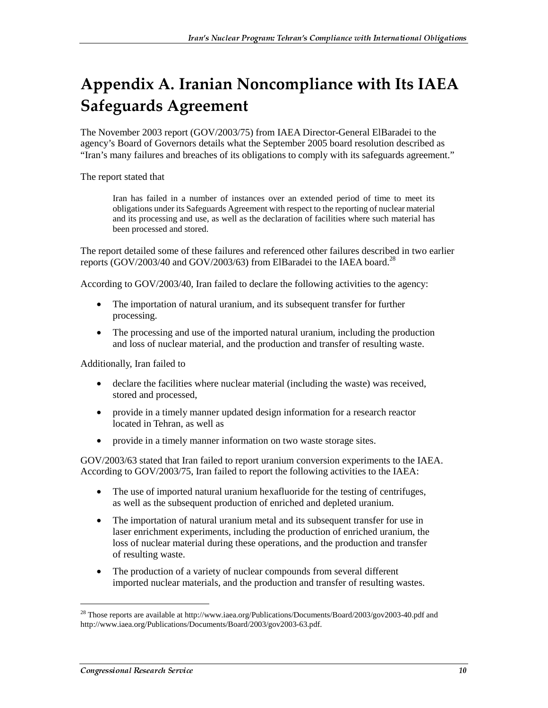### Appendix A. Iranian Noncompliance with Its IAEA Safeguards Agreement

The November 2003 report (GOV/2003/75) from IAEA Director-General ElBaradei to the agency's Board of Governors details what the September 2005 board resolution described as "Iran's many failures and breaches of its obligations to comply with its safeguards agreement."

The report stated that

Iran has failed in a number of instances over an extended period of time to meet its obligations under its Safeguards Agreement with respect to the reporting of nuclear material and its processing and use, as well as the declaration of facilities where such material has been processed and stored.

The report detailed some of these failures and referenced other failures described in two earlier reports (GOV/2003/40 and GOV/2003/63) from ElBaradei to the IAEA board.<sup>28</sup>

According to GOV/2003/40, Iran failed to declare the following activities to the agency:

- The importation of natural uranium, and its subsequent transfer for further processing.
- The processing and use of the imported natural uranium, including the production and loss of nuclear material, and the production and transfer of resulting waste.

Additionally, Iran failed to

- declare the facilities where nuclear material (including the waste) was received, stored and processed,
- provide in a timely manner updated design information for a research reactor located in Tehran, as well as
- provide in a timely manner information on two waste storage sites.

GOV/2003/63 stated that Iran failed to report uranium conversion experiments to the IAEA. According to GOV/2003/75, Iran failed to report the following activities to the IAEA:

- The use of imported natural uranium hexafluoride for the testing of centrifuges, as well as the subsequent production of enriched and depleted uranium.
- The importation of natural uranium metal and its subsequent transfer for use in laser enrichment experiments, including the production of enriched uranium, the loss of nuclear material during these operations, and the production and transfer of resulting waste.
- The production of a variety of nuclear compounds from several different imported nuclear materials, and the production and transfer of resulting wastes.

<sup>&</sup>lt;sup>28</sup> Those reports are available at http://www.iaea.org/Publications/Documents/Board/2003/gov2003-40.pdf and http://www.iaea.org/Publications/Documents/Board/2003/gov2003-63.pdf.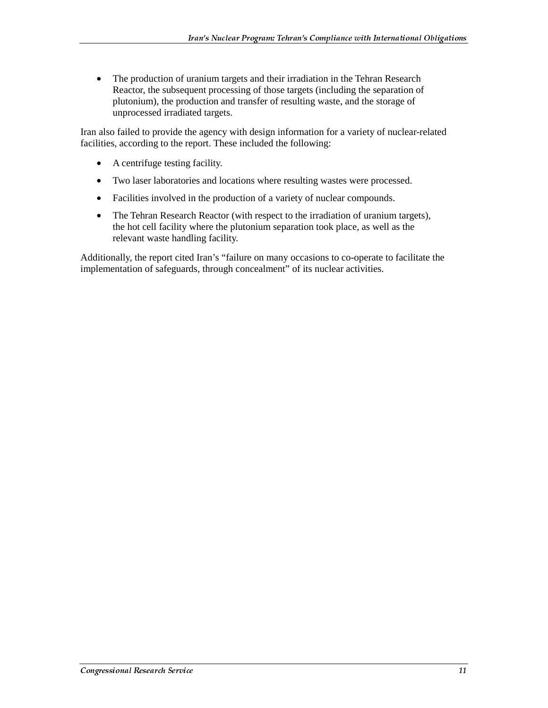• The production of uranium targets and their irradiation in the Tehran Research Reactor, the subsequent processing of those targets (including the separation of plutonium), the production and transfer of resulting waste, and the storage of unprocessed irradiated targets.

Iran also failed to provide the agency with design information for a variety of nuclear-related facilities, according to the report. These included the following:

- A centrifuge testing facility.
- Two laser laboratories and locations where resulting wastes were processed.
- Facilities involved in the production of a variety of nuclear compounds.
- The Tehran Research Reactor (with respect to the irradiation of uranium targets), the hot cell facility where the plutonium separation took place, as well as the relevant waste handling facility.

Additionally, the report cited Iran's "failure on many occasions to co-operate to facilitate the implementation of safeguards, through concealment" of its nuclear activities.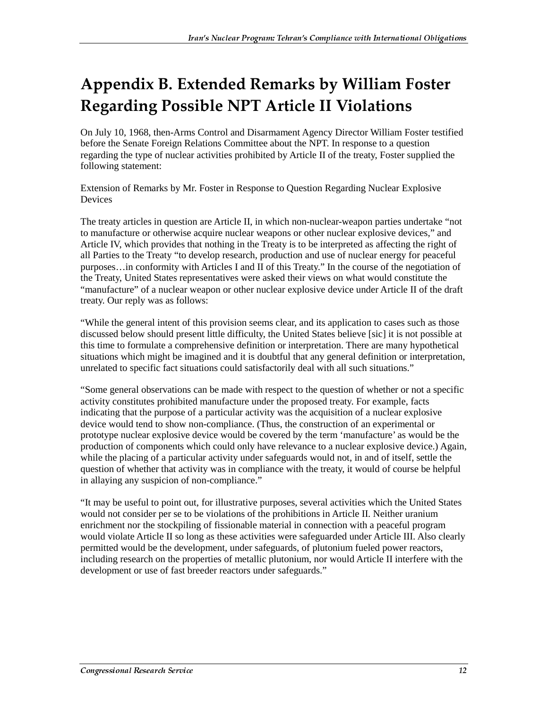## Appendix B. Extended Remarks by William Foster **Regarding Possible NPT Article II Violations**

On July 10, 1968, then-Arms Control and Disarmament Agency Director William Foster testified before the Senate Foreign Relations Committee about the NPT. In response to a question regarding the type of nuclear activities prohibited by Article II of the treaty, Foster supplied the following statement:

Extension of Remarks by Mr. Foster in Response to Question Regarding Nuclear Explosive **Devices** 

The treaty articles in question are Article II, in which non-nuclear-weapon parties undertake "not to manufacture or otherwise acquire nuclear weapons or other nuclear explosive devices," and Article IV, which provides that nothing in the Treaty is to be interpreted as affecting the right of all Parties to the Treaty "to develop research, production and use of nuclear energy for peaceful purposes…in conformity with Articles I and II of this Treaty." In the course of the negotiation of the Treaty, United States representatives were asked their views on what would constitute the "manufacture" of a nuclear weapon or other nuclear explosive device under Article II of the draft treaty. Our reply was as follows:

"While the general intent of this provision seems clear, and its application to cases such as those discussed below should present little difficulty, the United States believe [sic] it is not possible at this time to formulate a comprehensive definition or interpretation. There are many hypothetical situations which might be imagined and it is doubtful that any general definition or interpretation, unrelated to specific fact situations could satisfactorily deal with all such situations."

"Some general observations can be made with respect to the question of whether or not a specific activity constitutes prohibited manufacture under the proposed treaty. For example, facts indicating that the purpose of a particular activity was the acquisition of a nuclear explosive device would tend to show non-compliance. (Thus, the construction of an experimental or prototype nuclear explosive device would be covered by the term 'manufacture' as would be the production of components which could only have relevance to a nuclear explosive device.) Again, while the placing of a particular activity under safeguards would not, in and of itself, settle the question of whether that activity was in compliance with the treaty, it would of course be helpful in allaying any suspicion of non-compliance."

"It may be useful to point out, for illustrative purposes, several activities which the United States would not consider per se to be violations of the prohibitions in Article II. Neither uranium enrichment nor the stockpiling of fissionable material in connection with a peaceful program would violate Article II so long as these activities were safeguarded under Article III. Also clearly permitted would be the development, under safeguards, of plutonium fueled power reactors, including research on the properties of metallic plutonium, nor would Article II interfere with the development or use of fast breeder reactors under safeguards."